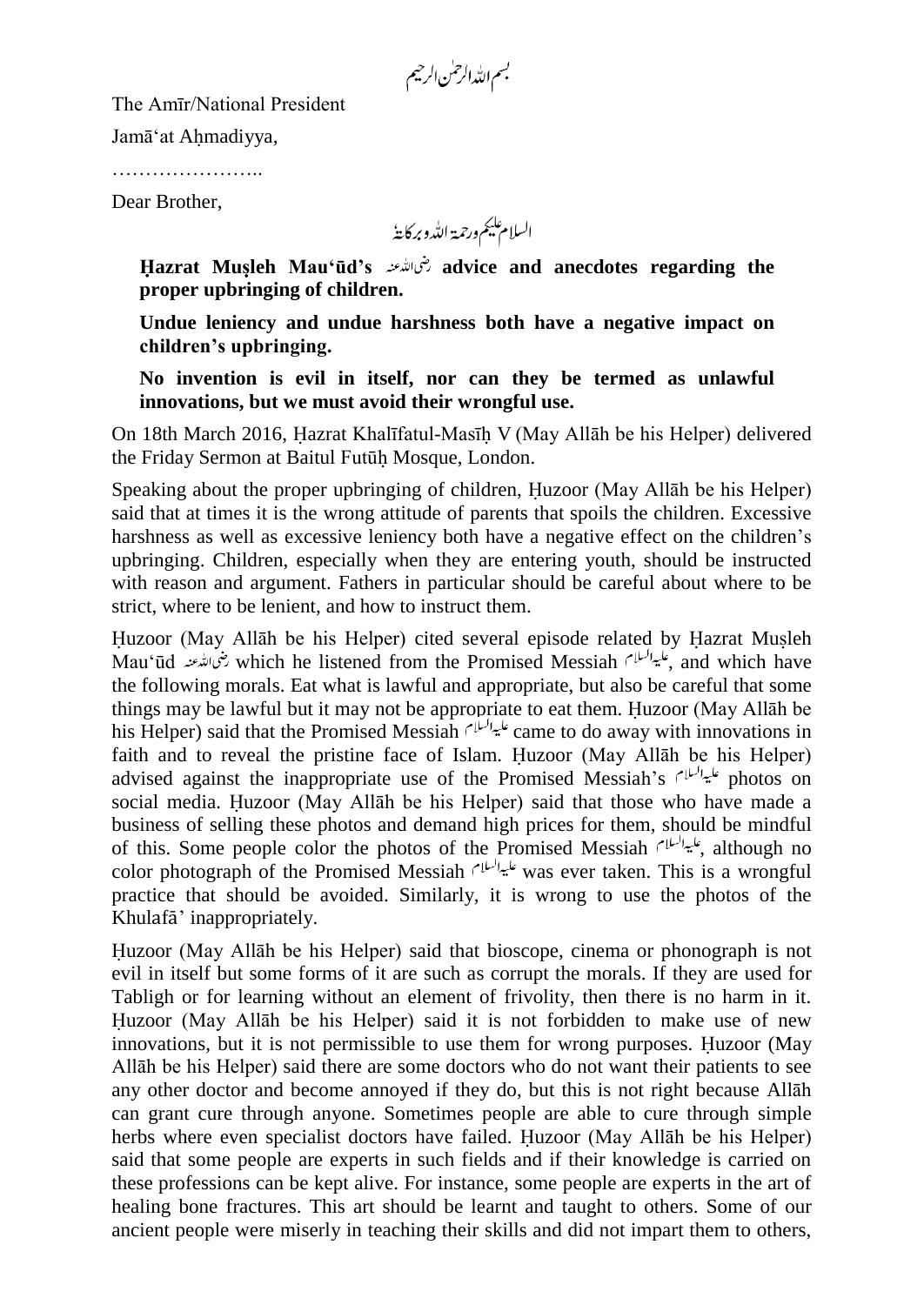بسم الله الرحمٰن الرحيم

The Amīr/National President

Jamā"at Ahmadiyya,

…………………..

Dear Brother,

السلام عليم ورحمة الله وبركاية

**Hazrat Musleh Mau'ūd's advice and anecdotes regarding the proper upbringing of children.**

**Undue leniency and undue harshness both have a negative impact on children's upbringing.**

**No invention is evil in itself, nor can they be termed as unlawful innovations, but we must avoid their wrongful use.**

On 18th March 2016, Hazrat Khalīfatul-Masīh V (May Allāh be his Helper) delivered the Friday Sermon at Baitul Futūh Mosque, London.

Speaking about the proper upbringing of children, Huzoor (May Allāh be his Helper) said that at times it is the wrong attitude of parents that spoils the children. Excessive harshness as well as excessive leniency both have a negative effect on the children's upbringing. Children, especially when they are entering youth, should be instructed with reason and argument. Fathers in particular should be careful about where to be strict, where to be lenient, and how to instruct them.

Huzoor (May Allāh be his Helper) cited several episode related by Hazrat Musleh Mau'ūd تغن الله عنه السلام) which he listened from the Promised Messiah رغني الله عنه , and which have the following morals. Eat what is lawful and appropriate, but also be careful that some things may be lawful but it may not be appropriate to eat them. Huzoor (May Allāh be his Helper) said that the Promised Messiah على السلام came to do away with innovations in faith and to reveal the pristine face of Islam. Huzoor (May Allāh be his Helper) advised against the inappropriate use of the Promised Messiah's photos on photos on social media. Huzoor (May Allāh be his Helper) said that those who have made a business of selling these photos and demand high prices for them, should be mindful of this. Some people color the photos of the Promised Messiah , على السلام although no color photograph of the Promised Messiah  $\frac{d}{dx}$  was ever taken. This is a wrongful practice that should be avoided. Similarly, it is wrong to use the photos of the Khulafā" inappropriately.

Huzoor (May Allāh be his Helper) said that bioscope, cinema or phonograph is not evil in itself but some forms of it are such as corrupt the morals. If they are used for Tabligh or for learning without an element of frivolity, then there is no harm in it. Huzoor (May Allāh be his Helper) said it is not forbidden to make use of new innovations, but it is not permissible to use them for wrong purposes. Huzoor (May Allāh be his Helper) said there are some doctors who do not want their patients to see any other doctor and become annoyed if they do, but this is not right because Allāh can grant cure through anyone. Sometimes people are able to cure through simple herbs where even specialist doctors have failed. Huzoor (May Allāh be his Helper) said that some people are experts in such fields and if their knowledge is carried on these professions can be kept alive. For instance, some people are experts in the art of healing bone fractures. This art should be learnt and taught to others. Some of our ancient people were miserly in teaching their skills and did not impart them to others,